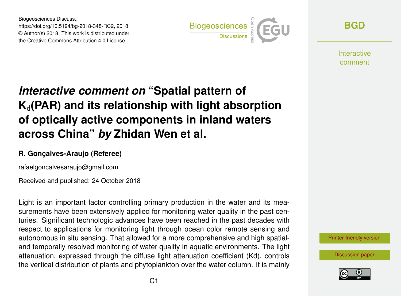Biogeosciences Discuss., https://doi.org/10.5194/bg-2018-348-RC2, 2018 © Author(s) 2018. This work is distributed under the Creative Commons Attribution 4.0 License.



**[BGD](https://www.biogeosciences-discuss.net/)**

**Interactive** comment

# *Interactive comment on* **"Spatial pattern of**  $K_d$ (PAR) and its relationship with light absorption **of optically active components in inland waters across China"** *by* **Zhidan Wen et al.**

#### **R. Gonçalves-Araujo (Referee)**

rafaelgoncalvesaraujo@gmail.com

Received and published: 24 October 2018

Light is an important factor controlling primary production in the water and its measurements have been extensively applied for monitoring water quality in the past centuries. Significant technologic advances have been reached in the past decades with respect to applications for monitoring light through ocean color remote sensing and autonomous in situ sensing. That allowed for a more comprehensive and high spatialand temporally resolved monitoring of water quality in aquatic environments. The light attenuation, expressed through the diffuse light attenuation coefficient (Kd), controls the vertical distribution of plants and phytoplankton over the water column. It is mainly



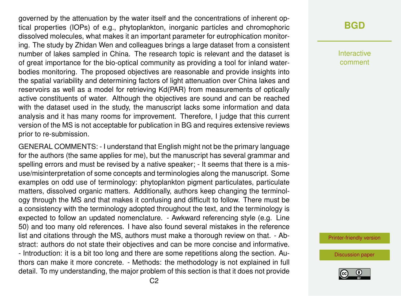governed by the attenuation by the water itself and the concentrations of inherent optical properties (IOPs) of e.g., phytoplankton, inorganic particles and chromophoric dissolved molecules, what makes it an important parameter for eutrophication monitoring. The study by Zhidan Wen and colleagues brings a large dataset from a consistent number of lakes sampled in China. The research topic is relevant and the dataset is of great importance for the bio-optical community as providing a tool for inland waterbodies monitoring. The proposed objectives are reasonable and provide insights into the spatial variability and determining factors of light attenuation over China lakes and reservoirs as well as a model for retrieving Kd(PAR) from measurements of optically active constituents of water. Although the objectives are sound and can be reached with the dataset used in the study, the manuscript lacks some information and data analysis and it has many rooms for improvement. Therefore, I judge that this current version of the MS is not acceptable for publication in BG and requires extensive reviews prior to re-submission.

GENERAL COMMENTS: - I understand that English might not be the primary language for the authors (the same applies for me), but the manuscript has several grammar and spelling errors and must be revised by a native speaker; - It seems that there is a misuse/misinterpretation of some concepts and terminologies along the manuscript. Some examples on odd use of terminology: phytoplankton pigment particulates, particulate matters, dissolved organic matters. Additionally, authors keep changing the terminology through the MS and that makes it confusing and difficult to follow. There must be a consistency with the terminology adopted throughout the text, and the terminology is expected to follow an updated nomenclature. - Awkward referencing style (e.g. Line 50) and too many old references. I have also found several mistakes in the reference list and citations through the MS, authors must make a thorough review on that. - Abstract: authors do not state their objectives and can be more concise and informative. - Introduction: it is a bit too long and there are some repetitions along the section. Authors can make it more concrete. - Methods: the methodology is not explained in full detail. To my understanding, the major problem of this section is that it does not provide **[BGD](https://www.biogeosciences-discuss.net/)**

Interactive comment

[Printer-friendly version](https://www.biogeosciences-discuss.net/bg-2018-348/bg-2018-348-RC2-print.pdf)

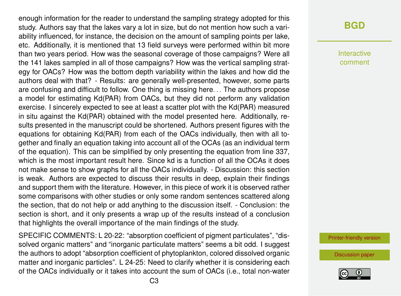enough information for the reader to understand the sampling strategy adopted for this study. Authors say that the lakes vary a lot in size, but do not mention how such a variability influenced, for instance, the decision on the amount of sampling points per lake, etc. Additionally, it is mentioned that 13 field surveys were performed within bit more than two years period. How was the seasonal coverage of those campaigns? Were all the 141 lakes sampled in all of those campaigns? How was the vertical sampling strategy for OACs? How was the bottom depth variability within the lakes and how did the authors deal with that? - Results: are generally well-presented, however, some parts are confusing and difficult to follow. One thing is missing here. . . The authors propose a model for estimating Kd(PAR) from OACs, but they did not perform any validation exercise. I sincerely expected to see at least a scatter plot with the Kd(PAR) measured in situ against the Kd(PAR) obtained with the model presented here. Additionally, results presented in the manuscript could be shortened. Authors present figures with the equations for obtaining Kd(PAR) from each of the OACs individually, then with all together and finally an equation taking into account all of the OCAs (as an individual term of the equation). This can be simplified by only presenting the equation from line 337, which is the most important result here. Since kd is a function of all the OCAs it does not make sense to show graphs for all the OACs individually. - Discussion: this section is weak. Authors are expected to discuss their results in deep, explain their findings and support them with the literature. However, in this piece of work it is observed rather some comparisons with other studies or only some random sentences scattered along the section, that do not help or add anything to the discussion itself. - Conclusion: the section is short, and it only presents a wrap up of the results instead of a conclusion that highlights the overall importance of the main findings of the study.

SPECIFIC COMMENTS: L 20-22: "absorption coefficient of pigment particulates", "dissolved organic matters" and "inorganic particulate matters" seems a bit odd. I suggest the authors to adopt "absorption coefficient of phytoplankton, colored dissolved organic matter and inorganic particles". L 24-25: Need to clarify whether it is considering each of the OACs individually or it takes into account the sum of OACs (i.e., total non-water

# **[BGD](https://www.biogeosciences-discuss.net/)**

Interactive comment

[Printer-friendly version](https://www.biogeosciences-discuss.net/bg-2018-348/bg-2018-348-RC2-print.pdf)

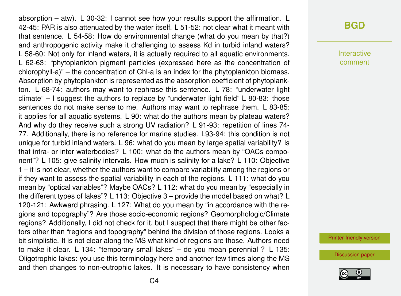absorption – atw). L 30-32: I cannot see how your results support the affirmation. L 42-45: PAR is also attenuated by the water itself. L 51-52: not clear what it meant with that sentence. L 54-58: How do environmental change (what do you mean by that?) and anthropogenic activity make it challenging to assess Kd in turbid inland waters? L 58-60: Not only for inland waters, it is actually required to all aquatic environments. L 62-63: "phytoplankton pigment particles (expressed here as the concentration of chlorophyll-a)" – the concentration of Chl-a is an index for the phytoplankton biomass. Absorption by phytoplankton is represented as the absorption coefficient of phytoplankton. L 68-74: authors may want to rephrase this sentence. L 78: "underwater light climate" – I suggest the authors to replace by "underwater light field" L 80-83: those sentences do not make sense to me. Authors may want to rephrase them. L 83-85: it applies for all aquatic systems. L 90: what do the authors mean by plateau waters? And why do they receive such a strong UV radiation? L 91-93: repetition of lines 74- 77. Additionally, there is no reference for marine studies. L93-94: this condition is not unique for turbid inland waters. L 96: what do you mean by large spatial variability? Is that intra- or inter waterbodies? L 100: what do the authors mean by "OACs component"? L 105: give salinity intervals. How much is salinity for a lake? L 110: Objective 1 – it is not clear, whether the authors want to compare variability among the regions or if they want to assess the spatial variability in each of the regions. L 111: what do you mean by "optical variables"? Maybe OACs? L 112: what do you mean by "especially in the different types of lakes"? L 113: Objective 3 – provide the model based on what? L 120-121: Awkward phrasing. L 127: What do you mean by "in accordance with the regions and topography"? Are those socio-economic regions? Geomorphologic/Climate regions? Additionally, I did not check for it, but I suspect that there might be other factors other than "regions and topography" behind the division of those regions. Looks a bit simplistic. It is not clear along the MS what kind of regions are those. Authors need to make it clear. L 134: "temporary small lakes" – do you mean perennial ? L 135: Oligotrophic lakes: you use this terminology here and another few times along the MS and then changes to non-eutrophic lakes. It is necessary to have consistency when

### **[BGD](https://www.biogeosciences-discuss.net/)**

Interactive comment

[Printer-friendly version](https://www.biogeosciences-discuss.net/bg-2018-348/bg-2018-348-RC2-print.pdf)

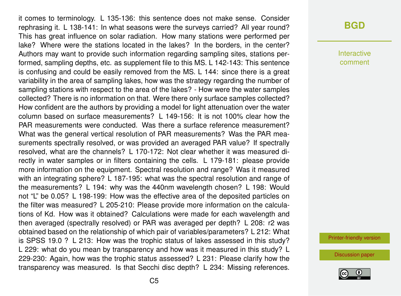it comes to terminology. L 135-136: this sentence does not make sense. Consider rephrasing it. L 138-141: In what seasons were the surveys carried? All year round? This has great influence on solar radiation. How many stations were performed per lake? Where were the stations located in the lakes? In the borders, in the center? Authors may want to provide such information regarding sampling sites, stations performed, sampling depths, etc. as supplement file to this MS. L 142-143: This sentence is confusing and could be easily removed from the MS. L 144: since there is a great variability in the area of sampling lakes, how was the strategy regarding the number of sampling stations with respect to the area of the lakes? - How were the water samples collected? There is no information on that. Were there only surface samples collected? How confident are the authors by providing a model for light attenuation over the water column based on surface measurements? L 149-156: It is not 100% clear how the PAR measurements were conducted. Was there a surface reference measurement? What was the general vertical resolution of PAR measurements? Was the PAR measurements spectrally resolved, or was provided an averaged PAR value? If spectrally resolved, what are the channels? L 170-172: Not clear whether it was measured directly in water samples or in filters containing the cells. L 179-181: please provide more information on the equipment. Spectral resolution and range? Was it measured with an integrating sphere? L 187-195: what was the spectral resolution and range of the measurements? L 194: why was the 440nm wavelength chosen? L 198: Would not "L" be 0.05? L 198-199: How was the effective area of the deposited particles on the filter was measured? L 205-210: Please provide more information on the calculations of Kd. How was it obtained? Calculations were made for each wavelength and then averaged (spectrally resolved) or PAR was averaged per depth? L 208: r2 was obtained based on the relationship of which pair of variables/parameters? L 212: What is SPSS 19.0 ? L 213: How was the trophic status of lakes assessed in this study? L 229: what do you mean by transparency and how was it measured in this study? L 229-230: Again, how was the trophic status assessed? L 231: Please clarify how the transparency was measured. Is that Secchi disc depth? L 234: Missing references.

#### **[BGD](https://www.biogeosciences-discuss.net/)**

**Interactive** comment

[Printer-friendly version](https://www.biogeosciences-discuss.net/bg-2018-348/bg-2018-348-RC2-print.pdf)

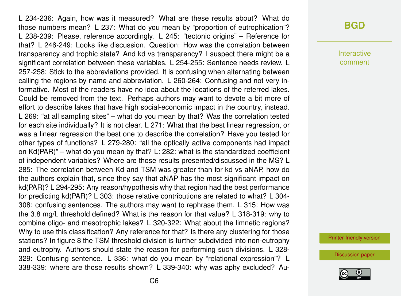L 234-236: Again, how was it measured? What are these results about? What do those numbers mean? L 237: What do you mean by "proportion of eutrophication"? L 238-239: Please, reference accordingly. L 245: "tectonic origins" – Reference for that? L 246-249: Looks like discussion. Question: How was the correlation between transparency and trophic state? And kd vs transparency? I suspect there might be a significant correlation between these variables. L 254-255: Sentence needs review. L 257-258: Stick to the abbreviations provided. It is confusing when alternating between calling the regions by name and abbreviation. L 260-264: Confusing and not very informative. Most of the readers have no idea about the locations of the referred lakes. Could be removed from the text. Perhaps authors may want to devote a bit more of effort to describe lakes that have high social-economic impact in the country, instead. L 269: "at all sampling sites" – what do you mean by that? Was the correlation tested for each site individually? It is not clear. L 271: What that the best linear regression, or was a linear regression the best one to describe the correlation? Have you tested for other types of functions? L 279-280: "all the optically active components had impact on Kd(PAR)" – what do you mean by that? L: 282: what is the standardized coefficient of independent variables? Where are those results presented/discussed in the MS? L 285: The correlation between Kd and TSM was greater than for kd vs aNAP, how do the authors explain that, since they say that aNAP has the most significant impact on kd(PAR)? L 294-295: Any reason/hypothesis why that region had the best performance for predicting kd(PAR)? L 303: those relative contributions are related to what? L 304- 308: confusing sentences. The authors may want to rephrase them. L 315: How was the 3.8 mg/L threshold defined? What is the reason for that value? L 318-319: why to combine oligo- and mesotrophic lakes? L 320-322: What about the limnetic regions? Why to use this classification? Any reference for that? Is there any clustering for those stations? In figure 8 the TSM threshold division is further subdivided into non-eutrophy and eutrophy. Authors should state the reason for performing such divisions. L 328- 329: Confusing sentence. L 336: what do you mean by "relational expression"? L 338-339: where are those results shown? L 339-340: why was aphy excluded? Au-

#### **[BGD](https://www.biogeosciences-discuss.net/)**

Interactive comment

[Printer-friendly version](https://www.biogeosciences-discuss.net/bg-2018-348/bg-2018-348-RC2-print.pdf)

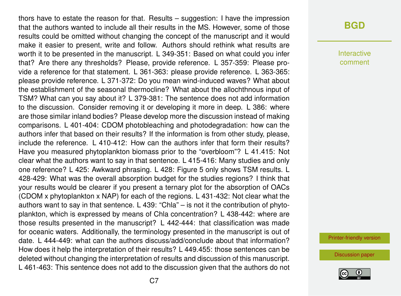thors have to estate the reason for that. Results – suggestion: I have the impression that the authors wanted to include all their results in the MS. However, some of those results could be omitted without changing the concept of the manuscript and it would make it easier to present, write and follow. Authors should rethink what results are worth it to be presented in the manuscript. L 349-351: Based on what could you infer that? Are there any thresholds? Please, provide reference. L 357-359: Please provide a reference for that statement. L 361-363: please provide reference. L 363-365: please provide reference. L 371-372: Do you mean wind-induced waves? What about the establishment of the seasonal thermocline? What about the allochthnous input of TSM? What can you say about it? L 379-381: The sentence does not add information to the discussion. Consider removing it or developing it more in deep. L 386: where are those similar inland bodies? Please develop more the discussion instead of making comparisons. L 401-404: CDOM photobleaching and photodegradation: how can the authors infer that based on their results? If the information is from other study, please, include the reference. L 410-412: How can the authors infer that form their results? Have you measured phytoplankton biomass prior to the "overbloom"? L 41.415: Not clear what the authors want to say in that sentence. L 415-416: Many studies and only one reference? L 425: Awkward phrasing. L 428: Figure 5 only shows TSM results. L 428-429: What was the overall absorption budget for the studies regions? I think that your results would be clearer if you present a ternary plot for the absorption of OACs (CDOM x phytoplankton x NAP) for each of the regions. L 431-432: Not clear what the authors want to say in that sentence. L 439: "Chla" – is not it the contribution of phytoplankton, which is expressed by means of Chla concentration? L 438-442: where are those results presented in the manuscript? L 442-444: that classification was made for oceanic waters. Additionally, the terminology presented in the manuscript is out of date. L 444-449: what can the authors discuss/add/conclude about that information? How does it help the interpretation of their results? L 449.455: those sentences can be deleted without changing the interpretation of results and discussion of this manuscript. L 461-463: This sentence does not add to the discussion given that the authors do not

Interactive comment

[Printer-friendly version](https://www.biogeosciences-discuss.net/bg-2018-348/bg-2018-348-RC2-print.pdf)

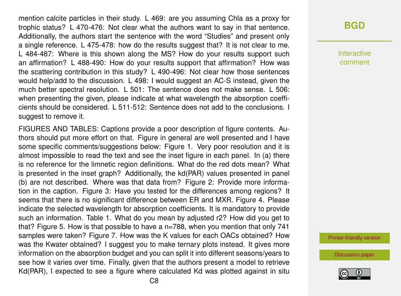mention calcite particles in their study. L 469: are you assuming Chla as a proxy for trophic status? L 470-476: Not clear what the authors want to say in that sentence. Additionally, the authors start the sentence with the word "Studies" and present only a single reference. L 475-478: how do the results suggest that? It is not clear to me. L 484-487: Where is this shown along the MS? How do your results support such an affirmation? L 488-490: How do your results support that affirmation? How was the scattering contribution in this study? L 490-496: Not clear how those sentences would help/add to the discussion. L 498: I would suggest an AC-S instead, given the much better spectral resolution. L 501: The sentence does not make sense. L 506: when presenting the given, please indicate at what wavelength the absorption coefficients should be considered. L 511-512: Sentence does not add to the conclusions. I suggest to remove it.

FIGURES AND TABLES: Captions provide a poor description of figure contents. Authors should put more effort on that. Figure in general are well presented and I have some specific comments/suggestions below: Figure 1. Very poor resolution and it is almost impossible to read the text and see the inset figure in each panel. In (a) there is no reference for the limnetic region definitions. What do the red dots mean? What is presented in the inset graph? Additionally, the kd(PAR) values presented in panel (b) are not described. Where was that data from? Figure 2: Provide more information in the caption. Figure 3: Have you tested for the differences among regions? It seems that there is no significant difference between ER and MXR. Figure 4. Please indicate the selected wavelength for absorption coefficients. It is mandatory to provide such an information. Table 1. What do you mean by adjusted r2? How did you get to that? Figure 5. How is that possible to have a n=788, when you mention that only 741 samples were taken? Figure 7. How was the K values for each OACs obtained? How was the Kwater obtained? I suggest you to make ternary plots instead. It gives more information on the absorption budget and you can split it into different seasons/years to see how it varies over time. Finally, given that the authors present a model to retrieve Kd(PAR), I expected to see a figure where calculated Kd was plotted against in situ

Interactive comment

[Printer-friendly version](https://www.biogeosciences-discuss.net/bg-2018-348/bg-2018-348-RC2-print.pdf)